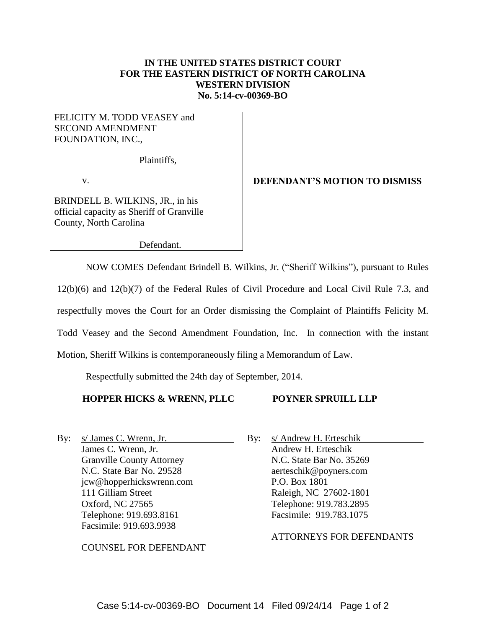### **IN THE UNITED STATES DISTRICT COURT FOR THE EASTERN DISTRICT OF NORTH CAROLINA WESTERN DIVISION No. 5:14-cv-00369-BO**

## FELICITY M. TODD VEASEY and SECOND AMENDMENT FOUNDATION, INC.,

Plaintiffs,

v.

BRINDELL B. WILKINS, JR., in his official capacity as Sheriff of Granville County, North Carolina

Defendant.

NOW COMES Defendant Brindell B. Wilkins, Jr. ("Sheriff Wilkins"), pursuant to Rules

12(b)(6) and 12(b)(7) of the Federal Rules of Civil Procedure and Local Civil Rule 7.3, and

respectfully moves the Court for an Order dismissing the Complaint of Plaintiffs Felicity M.

Todd Veasey and the Second Amendment Foundation, Inc. In connection with the instant

Motion, Sheriff Wilkins is contemporaneously filing a Memorandum of Law.

Respectfully submitted the 24th day of September, 2014.

#### **HOPPER HICKS & WRENN, PLLC**

#### **POYNER SPRUILL LLP**

By: s/ James C. Wrenn, Jr. James C. Wrenn, Jr. Granville County Attorney N.C. State Bar No. 29528 jcw@hopperhickswrenn.com 111 Gilliam Street Oxford, NC 27565 Telephone: 919.693.8161 Facsimile: 919.693.9938

COUNSEL FOR DEFENDANT

By: s/ Andrew H. Erteschik Andrew H. Erteschik N.C. State Bar No. 35269 aerteschik@poyners.com P.O. Box 1801 Raleigh, NC 27602-1801 Telephone: 919.783.2895 Facsimile: 919.783.1075

ATTORNEYS FOR DEFENDANTS

# **DEFENDANT'S MOTION TO DISMISS**